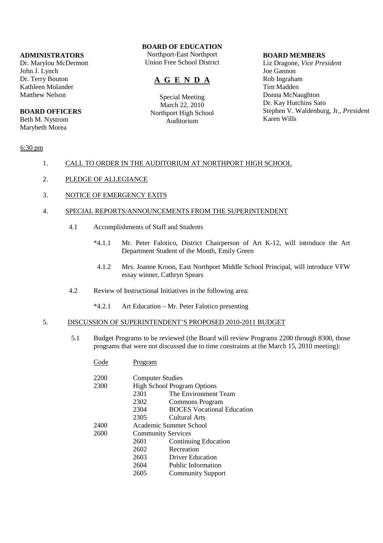## **ADMINISTRATORS**

Dr. Marylou McDermott John J. Lynch Dr. Terry Bouton Kathleen Molander Matthew Nelson

## **BOARD OFFICERS**

Beth M. Nystrom Marybeth Morea

# **BOARD OF EDUCATION**

Northport-East Northport Union Free School District

# **A G E N D A**

Special Meeting March 22, 2010 Northport High School Auditorium

#### **BOARD MEMBERS**

Liz Dragone, *Vice President* Joe Gannon Rob Ingraham Tim Madden Donna McNaughton Dr. Kay Hutchins Sato Stephen V. Waldenburg, Jr., *President* Karen Wills

## 6:30 pm

## 1. CALL TO ORDER IN THE AUDITORIUM AT NORTHPORT HIGH SCHOOL

- 2. PLEDGE OF ALLEGIANCE
- 3. NOTICE OF EMERGENCY EXITS

## 4. SPECIAL REPORTS/ANNOUNCEMENTS FROM THE SUPERINTENDENT

- 4.1 Accomplishments of Staff and Students
	- \*4.1.1 Mr. Peter Falotico, District Chairperson of Art K-12, will introduce the Art Department Student of the Month, Emily Green
		- 4.1.2 Mrs. Joanne Kroon, East Northport Middle School Principal, will introduce VFW essay winner, Cathryn Spears
- 4.2 Review of Instructional Initiatives in the following area:
	- \*4.2.1 Art Education Mr. Peter Falotico presenting

## 5. DISCUSSION OF SUPERINTENDENT'S PROPOSED 2010-2011 BUDGET

 5.1 Budget Programs to be reviewed (the Board will review Programs 2200 through 8300, those programs that were not discussed due to time constraints at the March 15, 2010 meeting):

| Code | Program                                             |                                   |
|------|-----------------------------------------------------|-----------------------------------|
| 2200 | <b>Computer Studies</b>                             |                                   |
| 2300 | <b>High School Program Options</b>                  |                                   |
|      | 2301                                                | The Environment Team              |
|      | 2302                                                | Commons Program                   |
|      | 2304                                                | <b>BOCES</b> Vocational Education |
|      | 2305                                                | Cultural Arts                     |
| 2400 | Academic Summer School<br><b>Community Services</b> |                                   |
| 2600 |                                                     |                                   |
|      | 2601                                                | <b>Continuing Education</b>       |
|      | 2602                                                | Recreation                        |
|      | 2603                                                | <b>Driver Education</b>           |
|      | 2604                                                | Public Information                |
|      | 2605                                                | <b>Community Support</b>          |
|      |                                                     |                                   |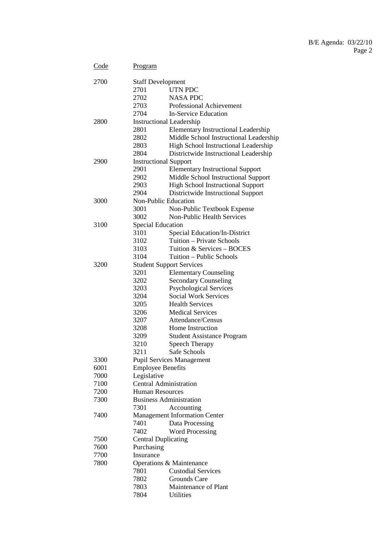# B/E Agenda: 03/22/10 Page 2

| Code | Program                          |                                            |  |  |
|------|----------------------------------|--------------------------------------------|--|--|
| 2700 |                                  | <b>Staff Development</b>                   |  |  |
|      | 2701                             | UTN PDC                                    |  |  |
|      | 2702                             | <b>NASA PDC</b>                            |  |  |
|      | 2703                             | Professional Achievement                   |  |  |
|      | 2704                             | <b>In-Service Education</b>                |  |  |
| 2800 |                                  | <b>Instructional Leadership</b>            |  |  |
|      | 2801                             | <b>Elementary Instructional Leadership</b> |  |  |
|      | 2802                             | Middle School Instructional Leadership     |  |  |
|      | 2803                             | High School Instructional Leadership       |  |  |
|      | 2804                             | Districtwide Instructional Leadership      |  |  |
| 2900 | <b>Instructional Support</b>     |                                            |  |  |
|      | 2901                             | <b>Elementary Instructional Support</b>    |  |  |
|      | 2902                             | Middle School Instructional Support        |  |  |
|      | 2903                             | <b>High School Instructional Support</b>   |  |  |
|      | 2904                             | Districtwide Instructional Support         |  |  |
| 3000 |                                  | Non-Public Education                       |  |  |
|      | 3001                             | Non-Public Textbook Expense                |  |  |
|      | 3002                             | Non-Public Health Services                 |  |  |
| 3100 | <b>Special Education</b>         |                                            |  |  |
|      | 3101                             | Special Education/In-District              |  |  |
|      | 3102                             | Tuition – Private Schools                  |  |  |
|      | 3103                             | Tuition & Services - BOCES                 |  |  |
|      | 3104                             | Tuition - Public Schools                   |  |  |
| 3200 |                                  | <b>Student Support Services</b>            |  |  |
|      | 3201                             | <b>Elementary Counseling</b>               |  |  |
|      | 3202                             | <b>Secondary Counseling</b>                |  |  |
|      | 3203                             | <b>Psychological Services</b>              |  |  |
|      | 3204                             | <b>Social Work Services</b>                |  |  |
|      | 3205                             | <b>Health Services</b>                     |  |  |
|      | 3206                             | <b>Medical Services</b>                    |  |  |
|      | 3207                             | Attendance/Census                          |  |  |
|      | 3208                             | Home Instruction                           |  |  |
|      | 3209                             | <b>Student Assistance Program</b>          |  |  |
|      | 3210                             | Speech Therapy                             |  |  |
|      | 3211                             | Safe Schools                               |  |  |
| 3300 | <b>Pupil Services Management</b> |                                            |  |  |
| 6001 | <b>Employee Benefits</b>         |                                            |  |  |
| 7000 | Legislative                      |                                            |  |  |
| 7100 | <b>Central Administration</b>    |                                            |  |  |
| 7200 | <b>Human Resources</b>           |                                            |  |  |
| 7300 |                                  | <b>Business Administration</b>             |  |  |
|      | 7301                             | Accounting                                 |  |  |
| 7400 |                                  | <b>Management Information Center</b>       |  |  |
|      | 7401                             | Data Processing                            |  |  |
|      | 7402                             | <b>Word Processing</b>                     |  |  |
| 7500 | <b>Central Duplicating</b>       |                                            |  |  |
| 7600 | Purchasing                       |                                            |  |  |
| 7700 | Insurance                        |                                            |  |  |
| 7800 |                                  | Operations & Maintenance                   |  |  |
|      | 7801<br>7802                     | <b>Custodial Services</b><br>Grounds Care  |  |  |
|      | 7803                             | Maintenance of Plant                       |  |  |
|      | 7804                             | Utilities                                  |  |  |
|      |                                  |                                            |  |  |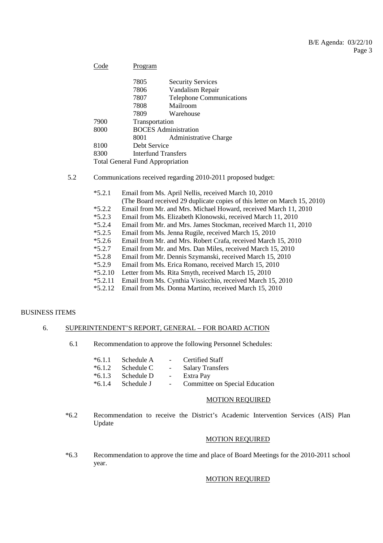| Code                                    | Program                                       |                                 |  |
|-----------------------------------------|-----------------------------------------------|---------------------------------|--|
|                                         | 7805                                          | <b>Security Services</b>        |  |
|                                         | 7806                                          | Vandalism Repair                |  |
|                                         | 7807                                          | <b>Telephone Communications</b> |  |
|                                         | 7808                                          | Mailroom                        |  |
|                                         | 7809                                          | Warehouse                       |  |
| 7900                                    | Transportation<br><b>BOCES</b> Administration |                                 |  |
| 8000                                    |                                               |                                 |  |
|                                         | 8001                                          | <b>Administrative Charge</b>    |  |
| 8100                                    | Debt Service                                  |                                 |  |
| 8300                                    | Interfund Transfers                           |                                 |  |
| <b>Total General Fund Appropriation</b> |                                               |                                 |  |

## 5.2 Communications received regarding 2010-2011 proposed budget:

- \*5.2.1 Email from Ms. April Nellis, received March 10, 2010 (The Board received 29 duplicate copies of this letter on March 15, 2010) \*5.2.2 Email from Mr. and Mrs. Michael Howard, received March 11, 2010<br>\*5.2.3 Email from Ms. Elizabeth Klonowski, received March 11, 2010 \*5.2.3 Email from Ms. Elizabeth Klonowski, received March 11, 2010 \*5.2.4 Email from Mr. and Mrs. James Stockman, received March 11, 2010 Email from Ms. Jenna Rugile, received March 15, 2010 \*5.2.6 Email from Mr. and Mrs. Robert Crafa, received March 15, 2010 \*5.2.7 Email from Mr. and Mrs. Dan Miles, received March 15, 2010 \*5.2.8 Email from Mr. Dennis Szymanski, received March 15, 2010 \*5.2.9 Email from Ms. Erica Romano, received March 15, 2010 Letter from Ms. Rita Smyth, received March 15, 2010
- \*5.2.11 Email from Ms. Cynthia Vissicchio, received March 15, 2010
- \*5.2.12 Email from Ms. Donna Martino, received March 15, 2010

#### BUSINESS ITEMS

## 6. SUPERINTENDENT'S REPORT, GENERAL – FOR BOARD ACTION

6.1 Recommendation to approve the following Personnel Schedules:

|                                 | *6.1.1 Schedule A - Certified Staff                |
|---------------------------------|----------------------------------------------------|
|                                 | *6.1.2 Schedule C - Salary Transfers               |
| $*6.1.3$ Schedule D - Extra Pay |                                                    |
|                                 | *6.1.4 Schedule J - Committee on Special Education |

#### MOTION REQUIRED

 \*6.2 Recommendation to receive the District's Academic Intervention Services (AIS) Plan Update

## MOTION REQUIRED

 \*6.3 Recommendation to approve the time and place of Board Meetings for the 2010-2011 school year.

## MOTION REQUIRED